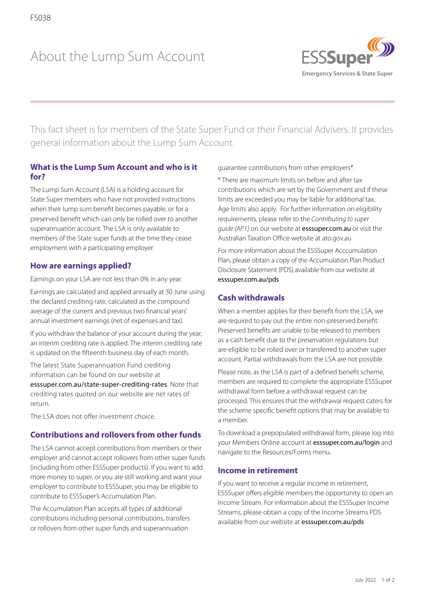# About the Lump Sum Account



This fact sheet is for members of the State Super Fund or their Financial Advisers. It provides general information about the Lump Sum Account.

## **What is the Lump Sum Account and who is it for?**

The Lump Sum Account (LSA) is a holding account for State Super members who have not provided instructions when their lump sum benefit becomes payable, or for a preserved benefit which can only be rolled over to another superannuation account. The LSA is only available to members of the State super funds at the time they cease employment with a participating employer.

## **How are earnings applied?**

Earnings on your LSA are not less than 0% in any year.

Earnings are calculated and applied annually at 30 June using the declared crediting rate, calculated as the compound average of the current and previous two financial years' annual investment earnings (net of expenses and tax).

If you withdraw the balance of your account during the year, an interim crediting rate is applied. The interim crediting rate is updated on the fifteenth business day of each month.

The latest State Superannuation Fund crediting information can be found on our website at [esssuper.com.au/state-super-crediting-rates](http://esssuper.com.au/state-super-crediting-rates). Note that crediting rates quoted on our website are net rates of return.

The LSA does not offer investment choice.

## **Contributions and rollovers from other funds**

The LSA cannot accept contributions from members or their employer and cannot accept rollovers from other super funds (including from other ESSSuper products). If you want to add more money to super, or you are still working and want your employer to contribute to ESSSuper, you may be eligible to contribute to ESSSuper's Accumulation Plan.

The Accumulation Plan accepts all types of additional contributions including personal contributions, transfers or rollovers from other super funds and superannuation

guarantee contributions from other employers\*.

\* There are maximum limits on before and after tax contributions which are set by the Government and if these limits are exceeded you may be liable for additional tax. Age limits also apply. For further information on eligibility requirements, please refer to the *Contributing to super guide (AP.1)* on our website at [esssuper.com.au](http://esssuper.com.au) or visit the Australian Taxation Office website at ato.gov.au

For more information about the ESSSuper Acccumulation Plan, please obtain a copy of the Accumulation Plan Product Disclosure Statement (PDS) available from our website at [esssuper.com.au/pds](http://esssuper.com.au/pds)

### **Cash withdrawals**

When a member applies for their benefit from the LSA, we are required to pay out the entire non-preserved benefit. Preserved benefits are unable to be released to members as a cash benefit due to the preservation regulations but are eligible to be rolled over or transferred to another super account. Partial withdrawals from the LSA are not possible.

Please note, as the LSA is part of a defined benefit scheme, members are required to complete the appropriate ESSSuper withdrawal form before a withdrawal request can be processed. This ensures that the withdrawal request caters for the scheme specific benefit options that may be available to a member.

To download a prepopulated withdrawal form, please log into your Members Online account at [esssuper.com.au/login](http://esssuper.com.au/login) and navigate to the Resources/Forms menu.

#### **Income in retirement**

If you want to receive a regular income in retirement, ESSSuper offers eligible members the opportunity to open an Income Stream. For information about the ESSSuper Income Streams, please obtain a copy of the Income Streams PDS available from our website at [esssuper.com.au/pds](http://esssuper.com.au/pds)